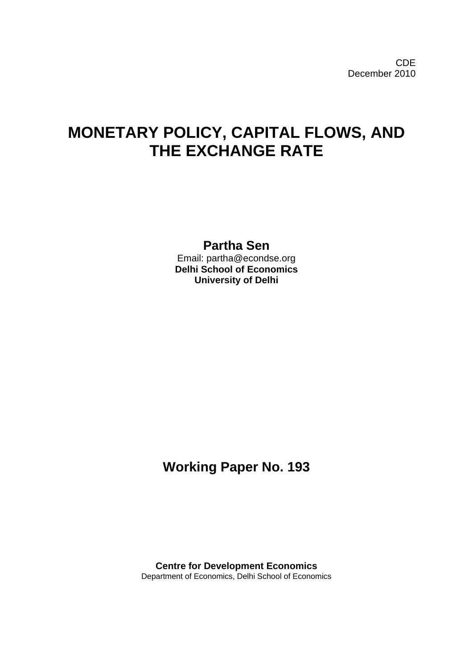# **MONETARY POLICY, CAPITAL FLOWS, AND THE EXCHANGE RATE**

### **Partha Sen** Email: partha@econdse.org **Delhi School of Economics University of Delhi**

## **Working Paper No. 193**

**Centre for Development Economics**  Department of Economics, Delhi School of Economics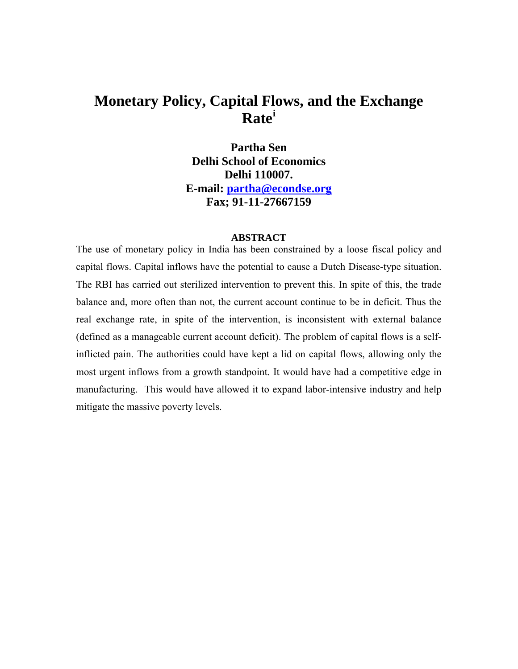## **Monetary Policy, Capital Fl[o](#page-3-0)ws, and the Exchange Rate[i](#page-3-0)**

**Partha Sen Delhi School of Economics Delhi 110007. E-mail: [partha@econdse.org](mailto:partha@econdse.org) Fax; 91-11-27667159** 

#### **ABSTRACT**

The use of monetary policy in India has been constrained by a loose fiscal policy and capital flows. Capital inflows have the potential to cause a Dutch Disease-type situation. The RBI has carried out sterilized intervention to prevent this. In spite of this, the trade balance and, more often than not, the current account continue to be in deficit. Thus the real exchange rate, in spite of the intervention, is inconsistent with external balance (defined as a manageable current account deficit). The problem of capital flows is a selfinflicted pain. The authorities could have kept a lid on capital flows, allowing only the most urgent inflows from a growth standpoint. It would have had a competitive edge in manufacturing. This would have allowed it to expand labor-intensive industry and help mitigate the massive poverty levels.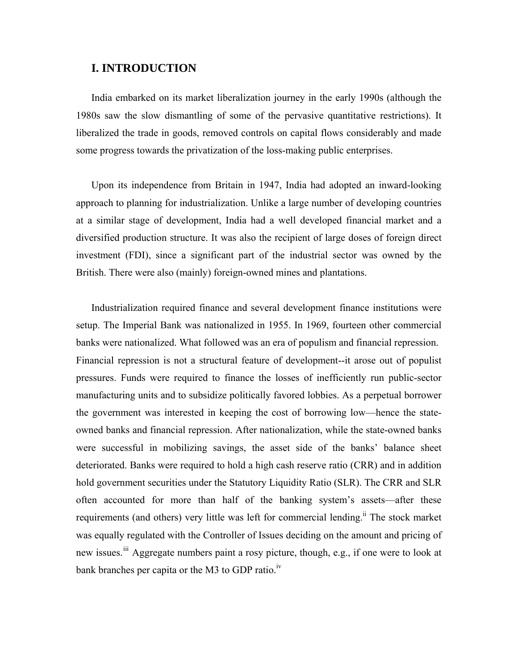#### **I. INTRODUCTION**

India embarked on its market liberalization journey in the early 1990s (although the 1980s saw the slow dismantling of some of the pervasive quantitative restrictions). It liberalized the trade in goods, removed controls on capital flows considerably and made some progress towards the privatization of the loss-making public enterprises.

Upon its independence from Britain in 1947, India had adopted an inward-looking approach to planning for industrialization. Unlike a large number of developing countries at a similar stage of development, India had a well developed financial market and a diversified production structure. It was also the recipient of large doses of foreign direct investment (FDI), since a significant part of the industrial sector was owned by the British. There were also (mainly) foreign-owned mines and plantations.

Industrialization required finance and several development finance institutions were setup. The Imperial Bank was nationalized in 1955. In 1969, fourteen other commercial banks were nationalized. What followed was an era of populism and financial repression. Financial repression is not a structural feature of development--it arose out of populist pressures. Funds were required to finance the losses of inefficiently run public-sector manufacturing units and to subsidize politically favored lobbies. As a perpetual borrower the government was interested in keeping the cost of borrowing low—hence the stateowned banks and financial repression. After nationalization, while the state-owned banks were successful in mobilizing savings, the asset side of the banks' balance sheet deteriorated. Banks were required to hold a high cash reserve ratio (CRR) and in addition hold government securities under the Statutory Liquidity Ratio (SLR). The CRR and SLR often accounted for more than half of the banking system's assets—after these requirements (and others) very little was left for commercial lending.<sup>ii</sup> The stock market was equally regulated with the Controller of Issues deciding on the amount and pricing of new issues.<sup>[iii](#page-3-1)</sup> Aggregate numbers paint a rosy picture, though, e.g., if one were to look at bank branches per capita or the M3 to GDP ratio. $\frac{iv}{ }$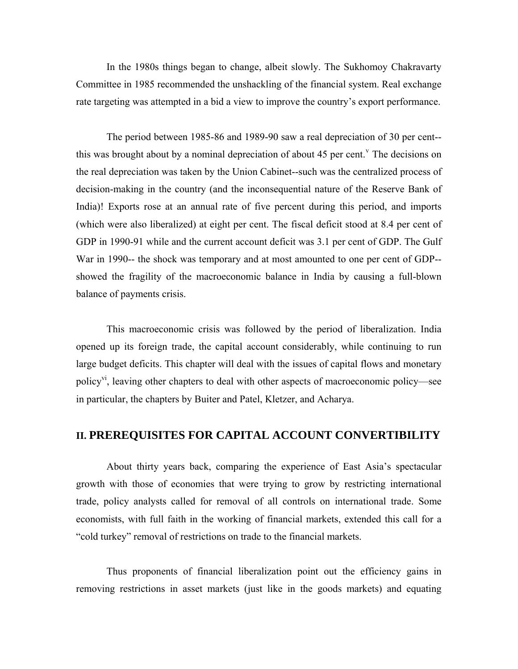<span id="page-3-0"></span>In the 1980s things began to change, albeit slowly. The Sukhomoy Chakravarty Committee in 1985 recommended the unshackling of the financial system. Real exchange rate targeting was attempted in a bid a view to improve the country's export performance.

The period between 1985-86 and 1989-90 saw a real depreciation of 30 per cent- this was brought about by a nominal depreciation of about 45 per cent.<sup> $v$ </sup> The decisions on the real depreciation was taken by the Union Cabinet--such was the centralized process of decision-making in the country (and the inconsequential nature of the Reserve Bank of India)! Exports rose at an annual rate of five percent during this period, and imports (which were also liberalized) at eight per cent. The fiscal deficit stood at 8.4 per cent of GDP in 1990-91 while and the current account deficit was 3.1 per cent of GDP. The Gulf War in 1990-- the shock was temporary and at most amounted to one per cent of GDP- showed the fragility of the macroeconomic balance in India by causing a full-blown balance of payments crisis.

This macroeconomic crisis was followed by the period of liberalization. India opened up its foreign trade, the capital account considerably, while continuing to run large budget deficits. This chapter will deal with the issues of capital flows and monetary policy<sup>vi</sup>, leaving other chapters to deal with other aspects of macroeconomic policy—see in particular, the chapters by Buiter and Patel, Kletzer, and Acharya.

## **II. PREREQUISITES FOR CAPITAL ACCOUNT CONVERTIBILITY**

About thirty years back, comparing the experience of East Asia's spectacular growth with those of economies that were trying to grow by restricting international trade, policy analysts called for removal of all controls on international trade. Some economists, with full faith in the working of financial markets, extended this call for a "cold turkey" removal of restrictions on trade to the financial markets.

<span id="page-3-1"></span>Thus proponents of financial liberalization point out the efficiency gains in removing restrictions in asset markets (just like in the goods markets) and equating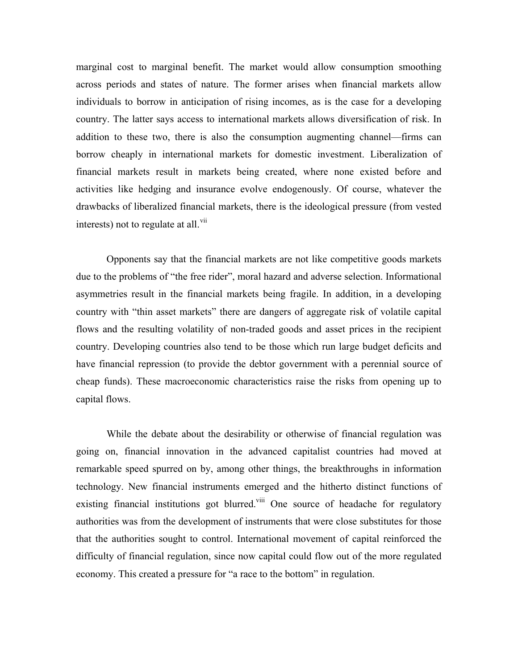marginal cost to marginal benefit. The market would allow consumption smoothing across periods and states of nature. The former arises when financial markets allow individuals to borrow in anticipation of rising incomes, as is the case for a developing country. The latter says access to international markets allows diversification of risk. In addition to these two, there is also the consumption augmenting channel—firms can borrow cheaply in international markets for domestic investment. Liberalization of financial markets result in markets being created, where none existed before and activities like hedging and insurance evolve endogenously. Of course, whatever the drawbacks of liberalized financial markets, there is the ideological pressure (from vested interests) not to regulate at all. $\overline{v}$ <sup>ii</sup>

Opponents say that the financial markets are not like competitive goods markets due to the problems of "the free rider", moral hazard and adverse selection. Informational asymmetries result in the financial markets being fragile. In addition, in a developing country with "thin asset markets" there are dangers of aggregate risk of volatile capital flows and the resulting volatility of non-traded goods and asset prices in the recipient country. Developing countries also tend to be those which run large budget deficits and have financial repression (to provide the debtor government with a perennial source of cheap funds). These macroeconomic characteristics raise the risks from opening up to capital flows.

While the debate about the desirability or otherwise of financial regulation was going on, financial innovation in the advanced capitalist countries had moved at remarkable speed spurred on by, among other things, the breakthroughs in information technology. New financial instruments emerged and the hitherto distinct functions of existing financial institutions got blurred.<sup>viii</sup> One source of headache for regulatory authorities was from the development of instruments that were close substitutes for those that the authorities sought to control. International movement of capital reinforced the difficulty of financial regulation, since now capital could flow out of the more regulated economy. This created a pressure for "a race to the bottom" in regulation.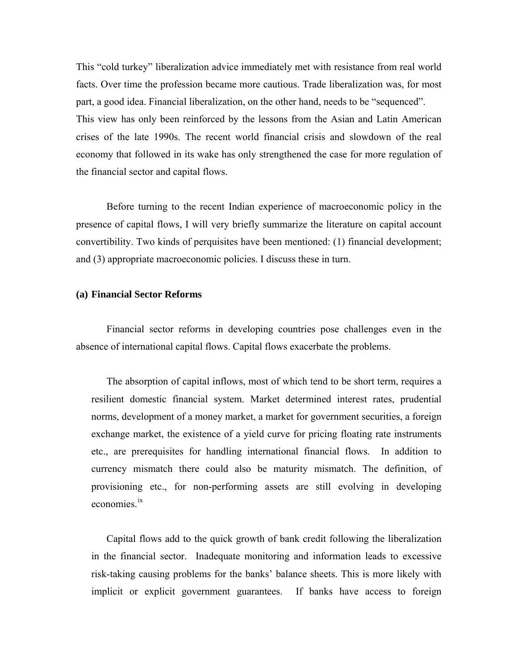This "cold turkey" liberalization advice immediately met with resistance from real world facts. Over time the profession became more cautious. Trade liberalization was, for most part, a good idea. Financial liberalization, on the other hand, needs to be "sequenced". This view has only been reinforced by the lessons from the Asian and Latin American crises of the late 1990s. The recent world financial crisis and slowdown of the real economy that followed in its wake has only strengthened the case for more regulation of the financial sector and capital flows.

<span id="page-5-0"></span>Before turning to the recent Indian experience of macroeconomic policy in the presence of capital flows, I will very briefly summarize the literature on capital account convertibility. Two kinds of perquisites have been mentioned: (1) financial development; and (3) appropriate macroeconomic policies. I discuss these in turn.

#### **(a) Financial Sector Reforms**

Financial sector reforms in developing countries pose challenges even in the absence of international capital flows. Capital flows exacerbate the problems.

 The absorption of capital inflows, most of which tend to be short term, requires a resilient domestic financial system. Market determined interest rates, prudential norms, development of a money market, a market for government securities, a foreign exchange market, the existence of a yield curve for pricing floating rate instruments etc., are prerequisites for handling international financial flows. In addition to currency mismatch there could also be maturity mismatch. The definition, of provisioning etc., for non-performing assets are still evolving in developing economies.[ix](#page-7-0)

Capital flows add to the quick growth of bank credit following the liberalization in the financial sector. Inadequate monitoring and information leads to excessive risk-taking causing problems for the banks' balance sheets. This is more likely with implicit or explicit government guarantees. If banks have access to foreign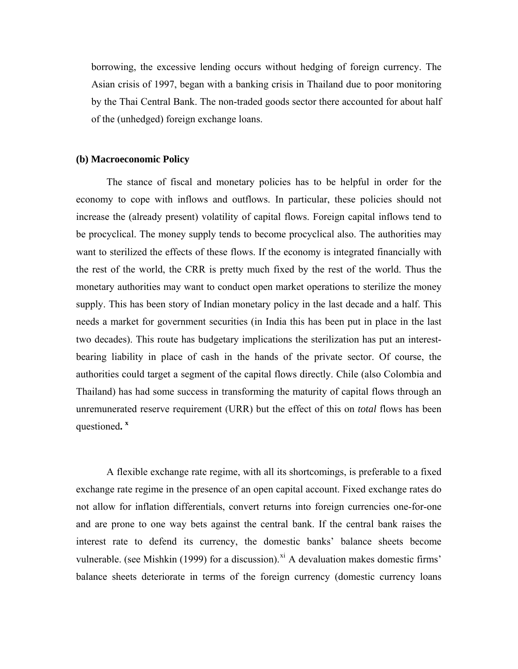borrowing, the excessive lending occurs without hedging of foreign currency. The Asian crisis of 1997, began with a banking crisis in Thailand due to poor monitoring by the Thai Central Bank. The non-traded goods sector there accounted for about half of the (unhedged) foreign exchange loans.

#### **(b) Macroeconomic Policy**

<span id="page-6-0"></span> The stance of fiscal and monetary policies has to be helpful in order for the economy to cope with inflows and outflows. In particular, these policies should not increase the (already present) volatility of capital flows. Foreign capital inflows tend to be procyclical. The money supply tends to become procyclical also. The authorities may want to sterilized the effects of these flows. If the economy is integrated financially with the rest of the world, the CRR is pretty much fixed by the rest of the world. Thus the monetary authorities may want to conduct open market operations to sterilize the money supply. This has been story of Indian monetary policy in the last decade and a half. This needs a market for government securities (in India this has been put in place in the last two decades). This route has budgetary implications the sterilization has put an interestbearing liability in place of cash in the hands of the private sector. Of course, the authorities could target a segment of the capital flows directly. Chile (also Colombia and Thailand) has had some success in transforming the maturity of capital flows through an unremunerated reserve requirement (URR) but the effect of this on *total* flows has been questioned**. x**

A flexible exchange rate regime, with all its shortcomings, is preferable to a fixed exchange rate regime in the presence of an open capital account. Fixed exchange rates do not allow for inflation differentials, convert returns into foreign currencies one-for-one and are prone to one way bets against the central bank. If the central bank raises the interest rate to defend its currency, the domestic banks' balance sheets become vulnerable. (see Mishkin (1999) for a discussion).<sup>[xi](#page-8-0)</sup> A devaluation makes domestic firms' balance sheets deteriorate in terms of the foreign currency (domestic currency loans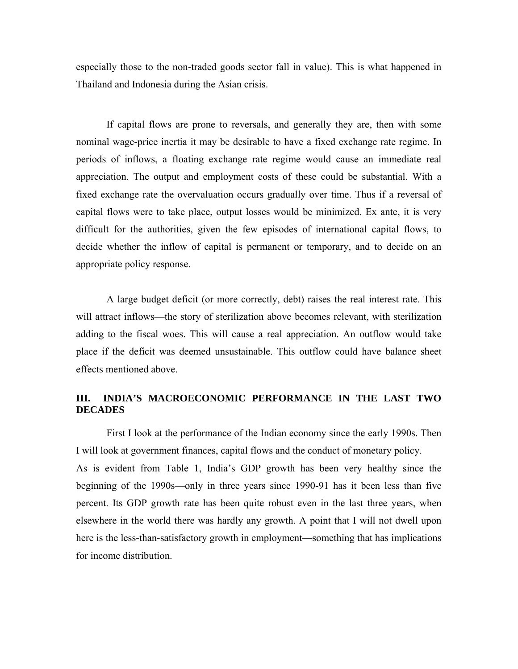especially those to the non-traded goods sector fall in value). This is what happened in Thailand and Indonesia during the Asian crisis.

 If capital flows are prone to reversals, and generally they are, then with some nominal wage-price inertia it may be desirable to have a fixed exchange rate regime. In periods of inflows, a floating exchange rate regime would cause an immediate real appreciation. The output and employment costs of these could be substantial. With a fixed exchange rate the overvaluation occurs gradually over time. Thus if a reversal of capital flows were to take place, output losses would be minimized. Ex ante, it is very difficult for the authorities, given the few episodes of international capital flows, to decide whether the inflow of capital is permanent or temporary, and to decide on an appropriate policy response.

<span id="page-7-0"></span> A large budget deficit (or more correctly, debt) raises the real interest rate. This will attract inflows—the story of sterilization above becomes relevant, with sterilization adding to the fiscal woes. This will cause a real appreciation. An outflow would take place if the deficit was deemed unsustainable. This outflow could have balance sheet effects mentioned above.

#### **III. INDIA'S MACROECONOMIC PERFORMANCE IN THE LAST TWO DECADES**

First I look at the performance of the Indian economy since the early 1990s. Then I will look at government finances, capital flows and the conduct of monetary policy.

As is evident from Table 1, India's GDP growth has been very healthy since the beginning of the 1990s—only in three years since 1990-91 has it been less than five percent. Its GDP growth rate has been quite robust even in the last three years, when elsewhere in the world there was hardly any growth. A point that I will not dwell upon here is the less-than-satisfactory growth in employment—something that has implications for income distribution.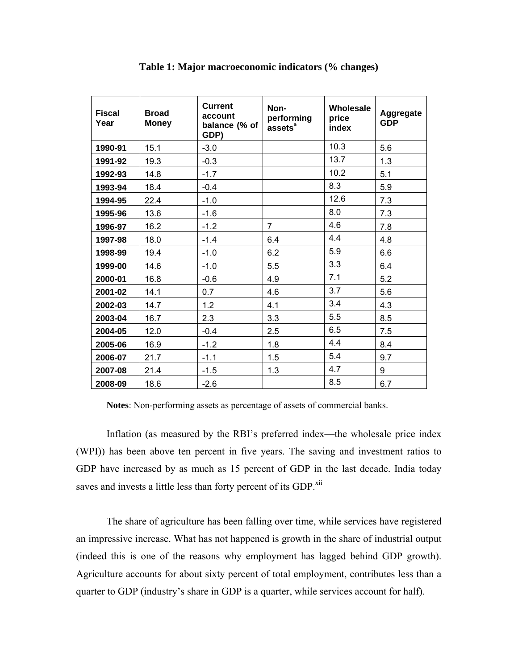| <b>Fiscal</b><br>Year | <b>Broad</b><br><b>Money</b> | <b>Current</b><br>account<br>balance (% of<br>GDP) | Non-<br>performing<br>assets <sup>a</sup> | Wholesale<br>price<br>index | Aggregate<br><b>GDP</b> |
|-----------------------|------------------------------|----------------------------------------------------|-------------------------------------------|-----------------------------|-------------------------|
| 1990-91               | 15.1                         | $-3.0$                                             |                                           | 10.3                        | 5.6                     |
| 1991-92               | 19.3                         | $-0.3$                                             |                                           | 13.7                        | 1.3                     |
| 1992-93               | 14.8                         | $-1.7$                                             |                                           | 10.2                        | 5.1                     |
| 1993-94               | 18.4                         | $-0.4$                                             |                                           | 8.3                         | 5.9                     |
| 1994-95               | 22.4                         | $-1.0$                                             |                                           | 12.6                        | 7.3                     |
| 1995-96               | 13.6                         | $-1.6$                                             |                                           | 8.0                         | 7.3                     |
| 1996-97               | 16.2                         | $-1.2$                                             | $\overline{7}$                            | 4.6                         | 7.8                     |
| 1997-98               | 18.0                         | $-1.4$                                             | 6.4                                       | 4.4                         | 4.8                     |
| 1998-99               | 19.4                         | $-1.0$                                             | 6.2                                       | 5.9                         | 6.6                     |
| 1999-00               | 14.6                         | $-1.0$                                             | 5.5                                       | 3.3                         | 6.4                     |
| 2000-01               | 16.8                         | $-0.6$                                             | 4.9                                       | 7.1                         | 5.2                     |
| 2001-02               | 14.1                         | 0.7                                                | 4.6                                       | 3.7                         | 5.6                     |
| 2002-03               | 14.7                         | 1.2                                                | 4.1                                       | 3.4                         | 4.3                     |
| 2003-04               | 16.7                         | 2.3                                                | 3.3                                       | 5.5                         | 8.5                     |
| 2004-05               | 12.0                         | $-0.4$                                             | 2.5                                       | 6.5                         | 7.5                     |
| 2005-06               | 16.9                         | $-1.2$                                             | 1.8                                       | 4.4                         | 8.4                     |
| 2006-07               | 21.7                         | $-1.1$                                             | 1.5                                       | 5.4                         | 9.7                     |
| 2007-08               | 21.4                         | $-1.5$                                             | 1.3                                       | 4.7                         | 9                       |
| 2008-09               | 18.6                         | $-2.6$                                             |                                           | 8.5                         | 6.7                     |

**Table 1: Major macroeconomic indicators (% changes)** 

<span id="page-8-0"></span>**Notes**: Non-performing assets as percentage of assets of commercial banks.

Inflation (as measured by the RBI's preferred index—the wholesale price index (WPI)) has been above ten percent in five years. The saving and investment ratios to GDP have increased by as much as 15 percent of GDP in the last decade. India today saves and invests a little less than forty percent of its GDP.<sup>xii</sup>

The share of agriculture has been falling over time, while services have registered an impressive increase. What has not happened is growth in the share of industrial output (indeed this is one of the reasons why employment has lagged behind GDP growth). Agriculture accounts for about sixty percent of total employment, contributes less than a quarter to GDP (industry's share in GDP is a quarter, while services account for half).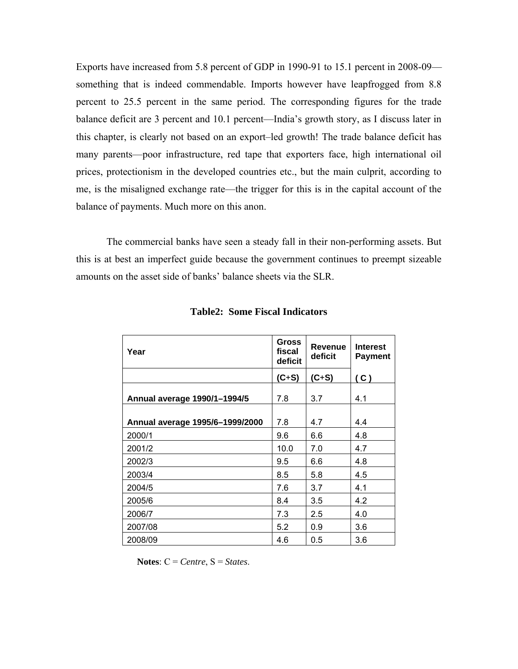Exports have increased from 5.8 percent of GDP in 1990-91 to 15.1 percent in 2008-09 something that is indeed commendable. Imports however have leapfrogged from 8.8 percent to 25.5 percent in the same period. The corresponding figures for the trade balance deficit are 3 percent and 10.1 percent—India's growth story, as I discuss later in this chapter, is clearly not based on an export–led growth! The trade balance deficit has many parents—poor infrastructure, red tape that exporters face, high international oil prices, protectionism in the developed countries etc., but the main culprit, according to me, is the misaligned exchange rate—the trigger for this is in the capital account of the balance of payments. Much more on this anon.

<span id="page-9-0"></span>The commercial banks have seen a steady fall in their non-performing assets. But this is at best an imperfect guide because the government continues to preempt sizeable amounts on the asset side of banks' balance sheets via the SLR.

| Year                            | Gross<br>fiscal<br>deficit | <b>Revenue</b><br>deficit | <b>Interest</b><br><b>Payment</b> |
|---------------------------------|----------------------------|---------------------------|-----------------------------------|
|                                 | $(C+S)$                    | $(C+S)$                   | (C)                               |
| Annual average 1990/1-1994/5    | 7.8                        | 3.7                       | 4.1                               |
| Annual average 1995/6-1999/2000 | 7.8                        | 4.7                       | 4.4                               |
| 2000/1                          | 9.6                        | 6.6                       | 4.8                               |
| 2001/2                          | 10.0                       | 7.0                       | 4.7                               |
| 2002/3                          | 9.5                        | 6.6                       | 4.8                               |
| 2003/4                          | 8.5                        | 5.8                       | 4.5                               |
| 2004/5                          | 7.6                        | 3.7                       | 4.1                               |
| 2005/6                          | 8.4                        | 3.5                       | 4.2                               |
| 2006/7                          | 7.3                        | 2.5                       | 4.0                               |
| 2007/08                         | 5.2                        | 0.9                       | 3.6                               |
| 2008/09                         | 4.6                        | 0.5                       | 3.6                               |

**Table2: Some Fiscal Indicators** 

**Notes**: C = *Centre*, S = *States*.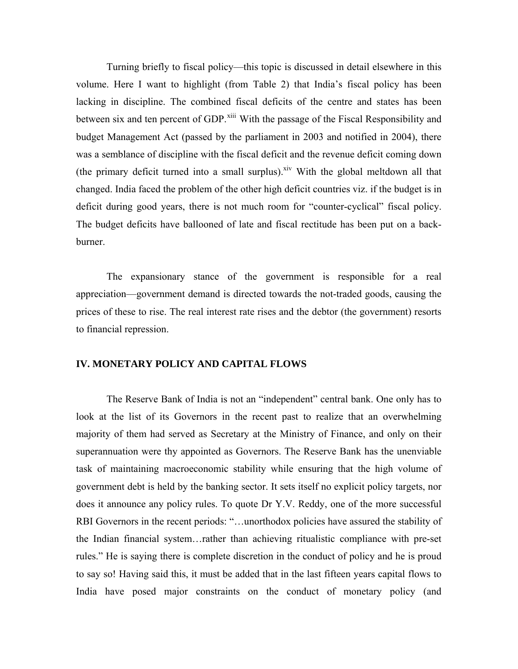Turning briefly to fiscal policy—this topic is discussed in detail elsewhere in this volume. Here I want to highlight (from Table 2) that India's fiscal policy has been lacking in discipline. The combined fiscal deficits of the centre and states has been between six and ten percent of GDP.<sup>[xiii](#page-9-0)</sup> With the passage of the Fiscal Responsibility and budget Management Act (passed by the parliament in 2003 and notified in 2004), there was a semblance of discipline with the fiscal deficit and the revenue deficit coming down (the primary deficit turned into a small surplus).<sup> $\frac{div}{dx}$ </sup> With the global meltdown all that changed. India faced the problem of the other high deficit countries viz. if the budget is in deficit during good years, there is not much room for "counter-cyclical" fiscal policy. The budget deficits have ballooned of late and fiscal rectitude has been put on a backburner.

The expansionary stance of the government is responsible for a real appreciation—government demand is directed towards the not-traded goods, causing the prices of these to rise. The real interest rate rises and the debtor (the government) resorts to financial repression.

#### <span id="page-10-0"></span>**IV. MONETARY POLICY AND CAPITAL FLOWS**

<span id="page-10-1"></span>The Reserve Bank of India is not an "independent" central bank. One only has to look at the list of its Governors in the recent past to realize that an overwhelming majority of them had served as Secretary at the Ministry of Finance, and only on their superannuation were thy appointed as Governors. The Reserve Bank has the unenviable task of maintaining macroeconomic stability while ensuring that the high volume of government debt is held by the banking sector. It sets itself no explicit policy targets, nor does it announce any policy rules. To quote Dr Y.V. Reddy, one of the more successful RBI Governors in the recent periods: "…unorthodox policies have assured the stability of the Indian financial system…rather than achieving ritualistic compliance with pre-set rules." He is saying there is complete discretion in the conduct of policy and he is proud to say so! Having said this, it must be added that in the last fifteen years capital flows to India have posed major constraints on the conduct of monetary policy (and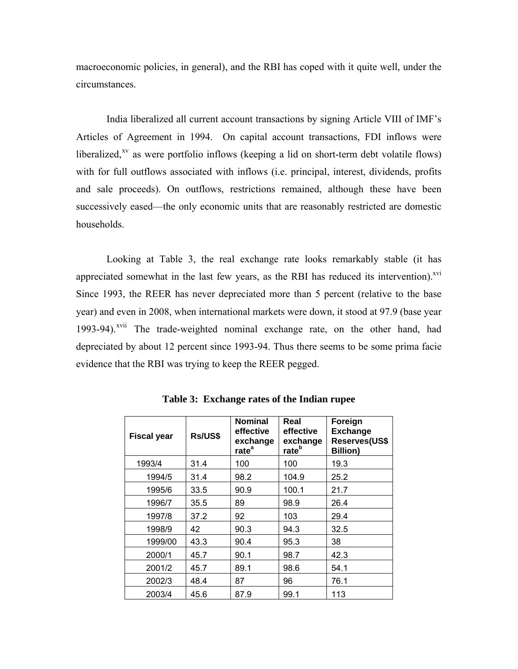macroeconomic policies, in general), and the RBI has coped with it quite well, under the circumstances.

India liberalized all current account transactions by signing Article VIII of IMF's Articles of Agreement in 1994. On capital account transactions, FDI inflows were liberalized, $x<sup>y</sup>$  as were portfolio inflows (keeping a lid on short-term debt volatile flows) with for full outflows associated with inflows (i.e. principal, interest, dividends, profits and sale proceeds). On outflows, restrictions remained, although these have been successively eased—the only economic units that are reasonably restricted are domestic households.

Looking at Table 3, the real exchange rate looks remarkably stable (it has appreciated somewhat in the last few years, as the RBI has reduced its intervention). $^{xvi}$ Since 1993, the REER has never depreciated more than 5 percent (relative to the base year) and even in 2008, when international markets were down, it stood at 97.9 (base year 1993-94).<sup>[xvii](#page-10-1)</sup> The trade-weighted nominal exchange rate, on the other hand, had depreciated by about 12 percent since 1993-94. Thus there seems to be some prima facie evidence that the RBI was trying to keep the REER pegged.

<span id="page-11-0"></span>

| <b>Fiscal year</b> | Rs/US\$ | <b>Nominal</b><br>effective<br>exchange<br>rate <sup>a</sup> | Real<br>effective<br>exchange<br>rate <sup>b</sup> | Foreign<br><b>Exchange</b><br>Reserves(US\$<br><b>Billion)</b> |
|--------------------|---------|--------------------------------------------------------------|----------------------------------------------------|----------------------------------------------------------------|
| 1993/4             | 31.4    | 100                                                          | 100                                                | 19.3                                                           |
| 1994/5             | 31.4    | 98.2                                                         | 104.9                                              | 25.2                                                           |
| 1995/6             | 33.5    | 90.9                                                         | 100.1                                              | 21.7                                                           |
| 1996/7             | 35.5    | 89                                                           | 98.9                                               | 26.4                                                           |
| 1997/8             | 37.2    | 92                                                           | 103                                                | 29.4                                                           |
| 1998/9             | 42      | 90.3                                                         | 94.3                                               | 32.5                                                           |
| 1999/00            | 43.3    | 90.4                                                         | 95.3                                               | 38                                                             |
| 2000/1             | 45.7    | 90.1                                                         | 98.7                                               | 42.3                                                           |
| 2001/2             | 45.7    | 89.1                                                         | 98.6                                               | 54.1                                                           |
| 2002/3             | 48.4    | 87                                                           | 96                                                 | 76.1                                                           |
| 2003/4             | 45.6    | 87.9                                                         | 99.1                                               | 113                                                            |

**Table 3: Exchange rates of the Indian rupee**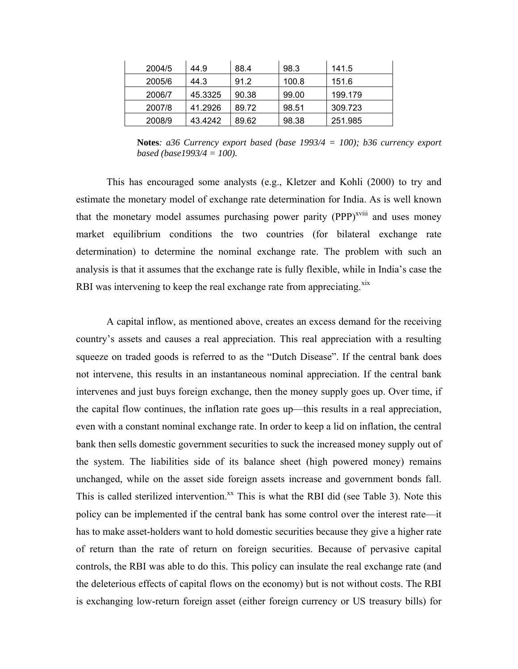| 2004/5 | 44.9    | 88.4  | 98.3  | 141.5   |
|--------|---------|-------|-------|---------|
| 2005/6 | 44.3    | 91.2  | 100.8 | 151.6   |
| 2006/7 | 45.3325 | 90.38 | 99.00 | 199.179 |
| 2007/8 | 41.2926 | 89.72 | 98.51 | 309.723 |
| 2008/9 | 43.4242 | 89.62 | 98.38 | 251.985 |

**Notes***: a36 Currency export based (base 1993/4 = 100); b36 currency export based (base1993/4 = 100).* 

This has encouraged some analysts (e.g., Kletzer and Kohli (2000) to try and estimate the monetary model of exchange rate determination for India. As is well known that the monetary model assumes purchasing power parity  $(PPP)^{x}$ <sup>xviii</sup> and uses money market equilibrium conditions the two countries (for bilateral exchange rate determination) to determine the nominal exchange rate. The problem with such an analysis is that it assumes that the exchange rate is fully flexible, while in India's case the RBI was intervening to keep the real exchange rate from appreciating.<sup>[xix](#page-11-0)</sup>

<span id="page-12-0"></span>A capital inflow, as mentioned above, creates an excess demand for the receiving country's assets and causes a real appreciation. This real appreciation with a resulting squeeze on traded goods is referred to as the "Dutch Disease". If the central bank does not intervene, this results in an instantaneous nominal appreciation. If the central bank intervenes and just buys foreign exchange, then the money supply goes up. Over time, if the capital flow continues, the inflation rate goes up—this results in a real appreciation, even with a constant nominal exchange rate. In order to keep a lid on inflation, the central bank then sells domestic government securities to suck the increased money supply out of the system. The liabilities side of its balance sheet (high powered money) remains unchanged, while on the asset side foreign assets increase and government bonds fall. This is called sterilized intervention.<sup>xx</sup> This is what the RBI did (see Table 3). Note this policy can be implemented if the central bank has some control over the interest rate—it has to make asset-holders want to hold domestic securities because they give a higher rate of return than the rate of return on foreign securities. Because of pervasive capital controls, the RBI was able to do this. This policy can insulate the real exchange rate (and the deleterious effects of capital flows on the economy) but is not without costs. The RBI is exchanging low-return foreign asset (either foreign currency or US treasury bills) for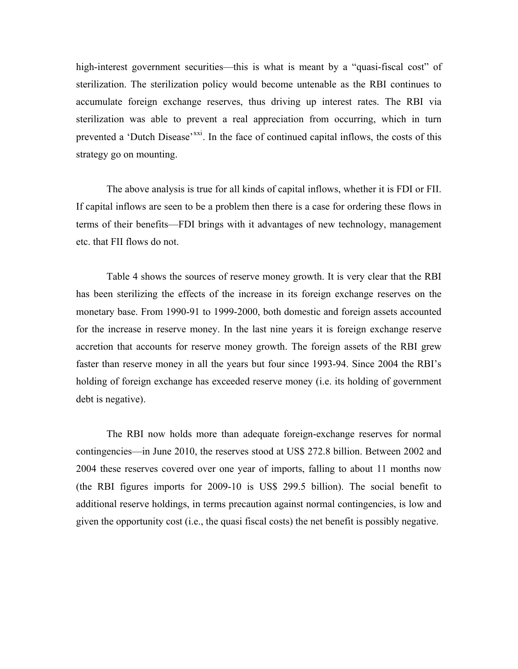high-interest government securities—this is what is meant by a "quasi-fiscal cost" of sterilization. The sterilization policy would become untenable as the RBI continues to accumulate foreign exchange reserves, thus driving up interest rates. The RBI via sterilization was able to prevent a real appreciation from occurring, which in turn prevented a 'Dutch Disease'<sup>[xxi](#page-12-0)</sup>. In the face of continued capital inflows, the costs of this strategy go on mounting.

The above analysis is true for all kinds of capital inflows, whether it is FDI or FII. If capital inflows are seen to be a problem then there is a case for ordering these flows in terms of their benefits—FDI brings with it advantages of new technology, management etc. that FII flows do not.

Table 4 shows the sources of reserve money growth. It is very clear that the RBI has been sterilizing the effects of the increase in its foreign exchange reserves on the monetary base. From 1990-91 to 1999-2000, both domestic and foreign assets accounted for the increase in reserve money. In the last nine years it is foreign exchange reserve accretion that accounts for reserve money growth. The foreign assets of the RBI grew faster than reserve money in all the years but four since 1993-94. Since 2004 the RBI's holding of foreign exchange has exceeded reserve money (i.e. its holding of government debt is negative).

The RBI now holds more than adequate foreign-exchange reserves for normal contingencies—in June 2010, the reserves stood at US\$ 272.8 billion. Between 2002 and 2004 these reserves covered over one year of imports, falling to about 11 months now (the RBI figures imports for 2009-10 is US\$ 299.5 billion). The social benefit to additional reserve holdings, in terms precaution against normal contingencies, is low and given the opportunity cost (i.e., the quasi fiscal costs) the net benefit is possibly negative.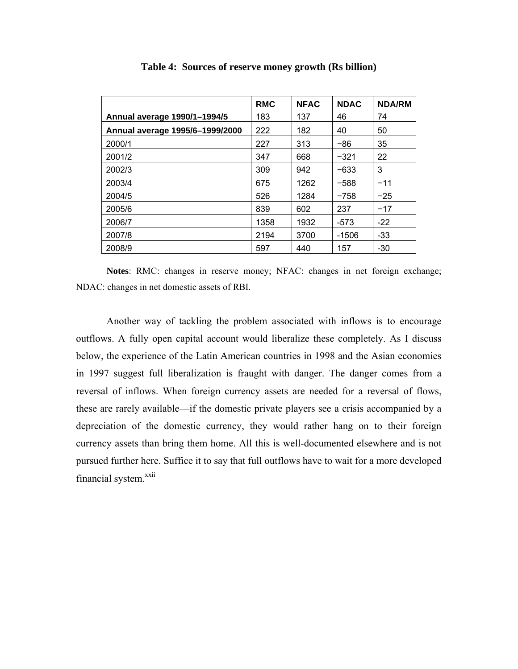|                                 | <b>RMC</b> | <b>NFAC</b> | <b>NDAC</b> | <b>NDA/RM</b> |
|---------------------------------|------------|-------------|-------------|---------------|
| Annual average 1990/1-1994/5    | 183        | 137         | 46          | 74            |
| Annual average 1995/6-1999/2000 | 222        | 182         | 40          | 50            |
| 2000/1                          | 227        | 313         | -86         | 35            |
| 2001/2                          | 347        | 668         | $-321$      | 22            |
| 2002/3                          | 309        | 942         | -633        | 3             |
| 2003/4                          | 675        | 1262        | $-588$      | $-11$         |
| 2004/5                          | 526        | 1284        | $-758$      | $-25$         |
| 2005/6                          | 839        | 602         | 237         | $-17$         |
| 2006/7                          | 1358       | 1932        | $-573$      | $-22$         |
| 2007/8                          | 2194       | 3700        | $-1506$     | $-33$         |
| 2008/9                          | 597        | 440         | 157         | $-30$         |

**Table 4: Sources of reserve money growth (Rs billion)** 

**Notes**: RMC: changes in reserve money; NFAC: changes in net foreign exchange; NDAC: changes in net domestic assets of RBI.

<span id="page-14-1"></span><span id="page-14-0"></span>Another way of tackling the problem associated with inflows is to encourage outflows. A fully open capital account would liberalize these completely. As I discuss below, the experience of the Latin American countries in 1998 and the Asian economies in 1997 suggest full liberalization is fraught with danger. The danger comes from a reversal of inflows. When foreign currency assets are needed for a reversal of flows, these are rarely available—if the domestic private players see a crisis accompanied by a depreciation of the domestic currency, they would rather hang on to their foreign currency assets than bring them home. All this is well-documented elsewhere and is not pursued further here. Suffice it to say that full outflows have to wait for a more developed financial system.<sup>xxii</sup>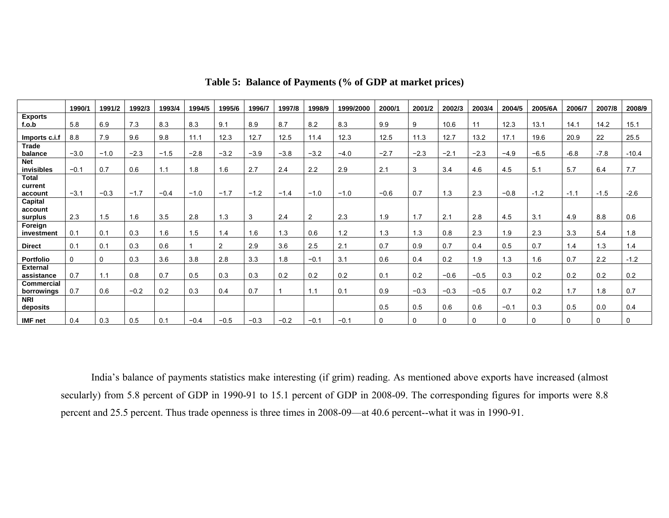|                                 | 1990/1 | 1991/2 | 1992/3 | 1993/4 | 1994/5 | 1995/6         | 1996/7 | 1997/8 | 1998/9         | 1999/2000 | 2000/1 | 2001/2 | 2002/3 | 2003/4 | 2004/5 | 2005/6A | 2006/7   | 2007/8 | 2008/9  |
|---------------------------------|--------|--------|--------|--------|--------|----------------|--------|--------|----------------|-----------|--------|--------|--------|--------|--------|---------|----------|--------|---------|
| <b>Exports</b><br>f.o.b         | 5.8    | 6.9    | 7.3    | 8.3    | 8.3    | 9.1            | 8.9    | 8.7    | 8.2            | 8.3       | 9.9    | 9      | 10.6   | 11     | 12.3   | 13.1    | 14.1     | 14.2   | 15.1    |
|                                 |        |        |        |        |        |                |        |        |                |           |        |        |        |        |        |         |          |        |         |
| Imports c.i.f                   | 8.8    | 7.9    | 9.6    | 9.8    | 11.1   | 12.3           | 12.7   | 12.5   | 11.4           | 12.3      | 12.5   | 11.3   | 12.7   | 13.2   | 17.1   | 19.6    | 20.9     | 22     | 25.5    |
| <b>Trade</b><br>balance         | $-3.0$ | $-1.0$ | $-2.3$ | $-1.5$ | $-2.8$ | $-3.2$         | $-3.9$ | $-3.8$ | $-3.2$         | $-4.0$    | $-2.7$ | $-2.3$ | $-2.1$ | $-2.3$ | $-4.9$ | $-6.5$  | $-6.8$   | $-7.8$ | $-10.4$ |
| <b>Net</b><br>invisibles        | $-0.1$ | 0.7    | 0.6    | 1.1    | 1.8    | 1.6            | 2.7    | 2.4    | 2.2            | 2.9       | 2.1    | 3      | 3.4    | 4.6    | 4.5    | 5.1     | 5.7      | 6.4    | 7.7     |
| <b>Total</b><br>current         |        |        |        |        |        |                |        |        |                |           |        |        |        |        |        |         |          |        |         |
| account                         | $-3.1$ | $-0.3$ | $-1.7$ | $-0.4$ | $-1.0$ | $-1.7$         | $-1.2$ | $-1.4$ | $-1.0$         | $-1.0$    | $-0.6$ | 0.7    | 1.3    | 2.3    | $-0.8$ | $-1.2$  | $-1.1$   | $-1.5$ | $-2.6$  |
| Capital<br>account<br>surplus   | 2.3    | 1.5    | .6     | 3.5    | 2.8    | 1.3            | 3      | 2.4    | $\overline{2}$ | 2.3       | 1.9    | 1.7    | 2.1    | 2.8    | 4.5    | 3.1     | 4.9      | 8.8    | 0.6     |
| Foreign<br>investment           | 0.1    | 0.1    | 0.3    | 1.6    | 1.5    | 1.4            | 1.6    | 1.3    | 0.6            | 1.2       | 1.3    | 1.3    | 0.8    | 2.3    | 1.9    | 2.3     | 3.3      | 5.4    | 1.8     |
| <b>Direct</b>                   | 0.1    | 0.1    | 0.3    | 0.6    |        | $\overline{2}$ | 2.9    | 3.6    | 2.5            | 2.1       | 0.7    | 0.9    | 0.7    | 0.4    | 0.5    | 0.7     | 1.4      | 1.3    | 1.4     |
| <b>Portfolio</b>                | 0      | 0      | 0.3    | 3.6    | 3.8    | 2.8            | 3.3    | 1.8    | $-0.1$         | 3.1       | 0.6    | 0.4    | 0.2    | 1.9    | 1.3    | 1.6     | 0.7      | 2.2    | $-1.2$  |
| <b>External</b><br>assistance   | 0.7    | 1.1    | 0.8    | 0.7    | 0.5    | 0.3            | 0.3    | 0.2    | 0.2            | 0.2       | 0.1    | 0.2    | $-0.6$ | $-0.5$ | 0.3    | 0.2     | 0.2      | 0.2    | 0.2     |
| <b>Commercial</b><br>borrowings | 0.7    | 0.6    | $-0.2$ | 0.2    | 0.3    | 0.4            | 0.7    |        | 1.1            | 0.1       | 0.9    | $-0.3$ | $-0.3$ | $-0.5$ | 0.7    | 0.2     | 1.7      | 1.8    | 0.7     |
| <b>NRI</b><br>deposits          |        |        |        |        |        |                |        |        |                |           | 0.5    | 0.5    | 0.6    | 0.6    | $-0.1$ | 0.3     | 0.5      | 0.0    | 0.4     |
| <b>IMF</b> net                  | 0.4    | 0.3    | 0.5    | 0.1    | $-0.4$ | $-0.5$         | $-0.3$ | $-0.2$ | $-0.1$         | $-0.1$    | 0      | 0      | 0      | 0      | 0      |         | $\Omega$ | 0      | 0       |

**Table 5: Balance of Payments (% of GDP at market prices)** 

India's balance of payments statistics make interesting (if grim) reading. As mentioned above exports have increased (almost secularly) from 5.8 percent of GDP in 1990-91 to 15.1 percent of GDP in 2008-09. The corresponding figures for imports were 8.8 percent and 25.5 percent. Thus trade openness is three times in 2008-09—at 40.6 percent--what it was in 1990-91.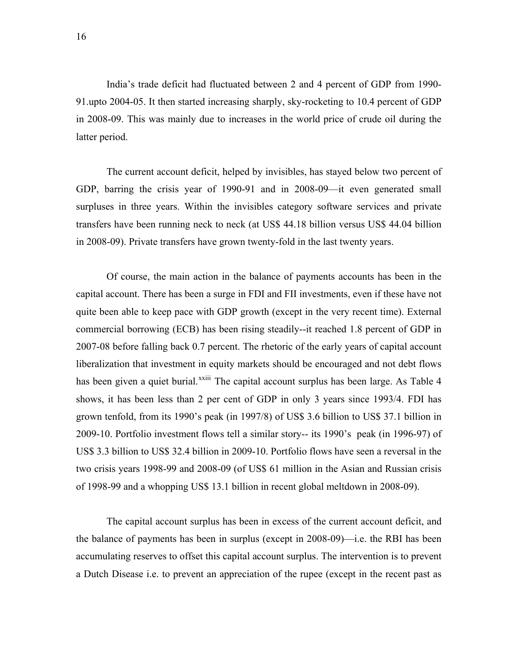India's trade deficit had fluctuated between 2 and 4 percent of GDP from 1990- 91.upto 2004-05. It then started increasing sharply, sky-rocketing to 10.4 percent of GDP in 2008-09. This was mainly due to increases in the world price of crude oil during the latter period.

<span id="page-16-0"></span>GDP, barring the crisis year of 1990-91 and in 2008-09—it even generated small surpluse s in three years. Within the invisibles category software services and private transfers have been running neck to neck (at US\$ 44.18 billion versus US\$ 44.04 billion in 2008-09). Private transfers have grown tw enty-fold in the last twenty years. The current account deficit, helped by invisibles, has stayed below two percent of

capital acco unt. There has been a surge in FDI and FII investments, even if these have not quite been able to keep pace with G DP growth (except in the very recent time). External commercial borrowing (ECB) has been rising steadily--it reached 1.8 percent of GDP in 2007-08 before falling b ack 0.7 percent. The rhetoric of the early years of capital account liberalization that investment in equity markets should be encouraged and not debt flows has been given a quiet burial.<sup>[xxiii](#page-14-0)</sup> The capital account surplus has been large. As Table 4 shows, it has been less than 2 per cent of GDP in only 3 years since 1993/4. FDI has grown tenfold, from its 1990's peak (in 1997/8) of US\$ 3.6 billion to US\$ 37.1 billion in 2009-10. Portfolio investm ent flows tell a similar story-- its 1990's peak (in 1996-97) of US\$ 3.3 billion to US\$ 32.4 billion in 2009-10. Portfo lio flows have seen a reversal in the two cris is years 1998-99 and 2008-09 (of US\$ 61 million in the Asian and Russian crisis of 1998-99 and a whopping US\$ 13.1 billion in recent global meltdown in 2008-09). Of course, the main action in the balance of payments accounts has been in the

<span id="page-16-1"></span>the balance of paym ents has been in surplus (except in 2008-09)—i.e. the RBI has been accum ulating reserves to offset this capital account surplus. The intervention is to prevent a Dutch Dis ease i.e. to prevent an appreciation of the rupee (except in the recent past as The capital account surplus has been in excess of the current account deficit, and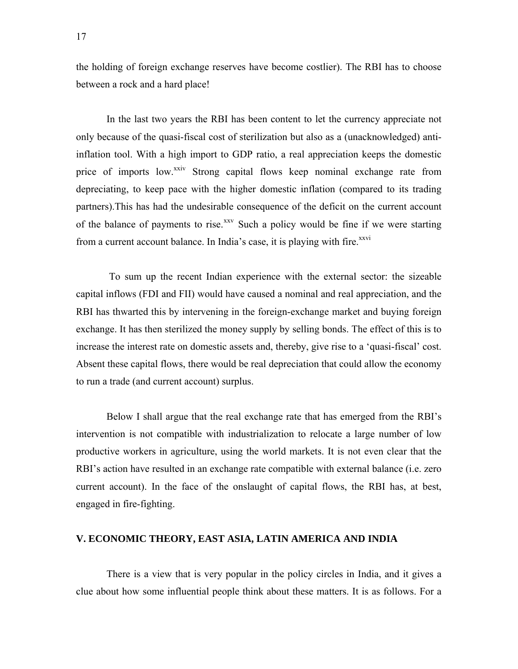the holding of foreign exchange reserves have become costlier). The RBI has to choose between a rock and a hard place!

In the last two years the RBI has been content to let the currency appreciate not only because of the quasi-fiscal cost of sterilization but also as a (unacknowledged) antiinflation tool. With a high import to GDP ratio, a real appreciation keeps the domestic price of imports low.<sup>xxiv</sup> Strong capital flows keep nominal exchange rate from depreciating, to keep pace with the higher domestic inflation (compared to its trading partners).This has had the undesirable consequence of the deficit on the current account of the balance of payments to rise.<sup>[xxv](#page-14-1)</sup> Such a policy would be fine if we were starting from a current account balance. In India's case, it is playing with fire.<sup>XXVI</sup>

 To sum up the recent Indian experience with the external sector: the sizeable capital inflows (FDI and FII) would have caused a nominal and real appreciation, and the RBI has thwarted this by intervening in the foreign-exchange market and buying foreign exchange. It has then sterilized the money supply by selling bonds. The effect of this is to increase the interest rate on domestic assets and, thereby, give rise to a 'quasi-fiscal' cost. Absent these capital flows, there would be real depreciation that could allow the economy to run a trade (and current account) surplus.

Below I shall argue that the real exchange rate that has emerged from the RBI's intervention is not compatible with industrialization to relocate a large number of low productive workers in agriculture, using the world markets. It is not even clear that the RBI's action have resulted in an exchange rate compatible with external balance (i.e. zero current account). In the face of the onslaught of capital flows, the RBI has, at best, engaged in fire-fighting.

#### **V. ECONOMIC THEORY, EAST ASIA, LATIN AMERICA AND INDIA**

There is a view that is very popular in the policy circles in India, and it gives a clue about how some influential people think about these matters. It is as follows. For a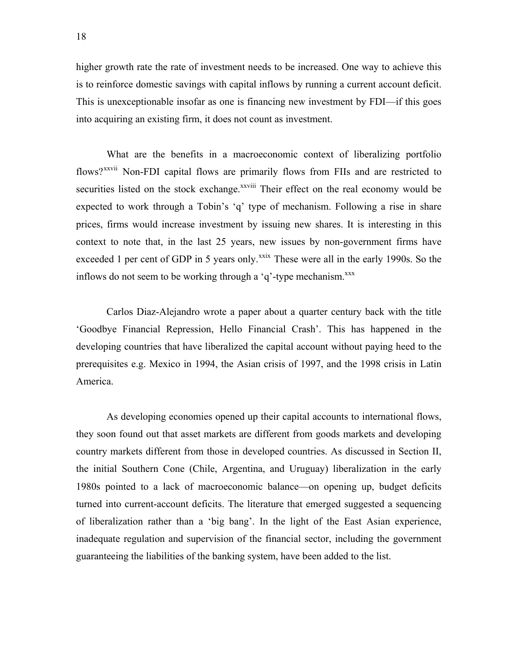higher growth rate the rate of investment needs to be increased. One way to achieve this is to reinforce domestic savings with capital inflows by running a current account deficit. This is unexceptionable insofar as one is financing new investment by FDI—if this goes into acquiring an existing firm, it does not count as investment.

What are the benefits in a macroeconomic context of liberalizing portfolio flows?<sup>[xxvii](#page-16-0)</sup> Non-FDI capital flows are primarily flows from FIIs and are restricted to securities listed on the stock exchange.<sup>xxviii</sup> Their effect on the real economy would be expected to work through a Tobin's 'q' type of mechanism. Following a rise in share prices, firms would increase investment by issuing new shares. It is interesting in this context to note that, in the last 25 years, new issues by non-government firms have exceeded 1 per cent of GDP in 5 years only.<sup>[xxix](#page-16-1)</sup> These were all in the early 1990s. So the inflows do not seem to be working through a 'q'-type mechanism.<sup>xxx</sup>

<span id="page-18-0"></span>Carlos Diaz-Alejandro wrote a paper about a quarter century back with the title 'Goodbye Financial Repression, Hello Financial Crash'. This has happened in the developing countries that have liberalized the capital account without paying heed to the prerequisites e.g. Mexico in 1994, the Asian crisis of 1997, and the 1998 crisis in Latin America.

As developing economies opened up their capital accounts to international flows, they soon found out that asset markets are different from goods markets and developing country markets different from those in developed countries. As discussed in Section II, the initial Southern Cone (Chile, Argentina, and Uruguay) liberalization in the early 1980s pointed to a lack of macroeconomic balance—on opening up, budget deficits turned into current-account deficits. The literature that emerged suggested a sequencing of liberalization rather than a 'big bang'. In the light of the East Asian experience, inadequate regulation and supervision of the financial sector, including the government guaranteeing the liabilities of the banking system, have been added to the list.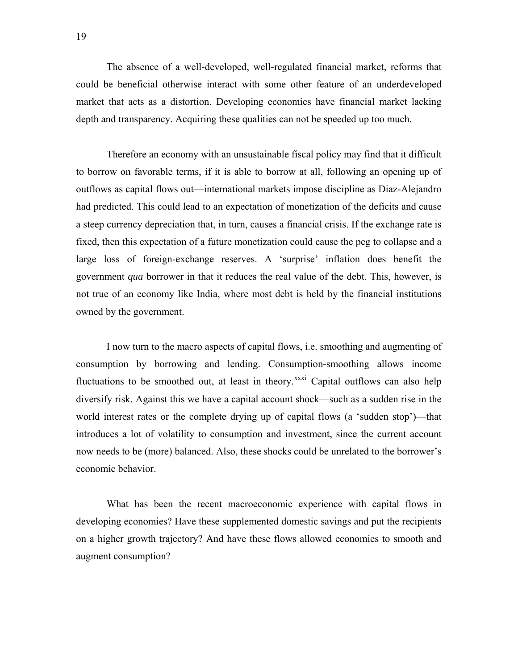The absence of a well-developed, well-regulated financial market, reforms that could be beneficial otherwise interact with some other feature of an underdeveloped market that acts as a distortion. Developing economies have financial market lacking depth and transparency. Acquiring these qualities can not be speeded up too much.

Therefore an economy with an unsustainable fiscal policy may find that it difficult to borrow on favorable terms, if it is able to borrow at all, following an opening up of outflows as capital flows out—international markets impose discipline as Diaz-Alejandro had predicted. This could lead to an expectation of monetization of the deficits and cause a steep currency depreciation that, in turn, causes a financial crisis. If the exchange rate is fixed, then this expectation of a future monetization could cause the peg to collapse and a large loss of foreign-exchange reserves. A 'surprise' inflation does benefit the government *qua* borrower in that it reduces the real value of the debt. This, however, is not true of an economy like India, where most debt is held by the financial institutions owned by the government.

<span id="page-19-0"></span>I now turn to the macro aspects of capital flows, i.e. smoothing and augmenting of consumption by borrowing and lending. Consumption-smoothing allows income fluctuations to be smoothed out, at least in theory. $\frac{x}{x}$  Capital outflows can also help diversify risk. Against this we have a capital account shock—such as a sudden rise in the world interest rates or the complete drying up of capital flows (a 'sudden stop')—that introduces a lot of volatility to consumption and investment, since the current account now needs to be (more) balanced. Also, these shocks could be unrelated to the borrower's economic behavior.

What has been the recent macroeconomic experience with capital flows in developing economies? Have these supplemented domestic savings and put the recipients on a higher growth trajectory? And have these flows allowed economies to smooth and augment consumption?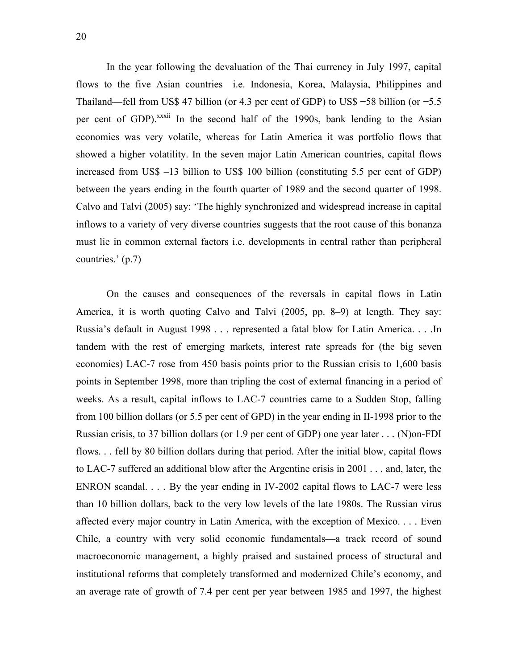In the year following the devaluation of the Thai currency in July 1997, capital flows to the five Asian countries—i.e. Indonesia, Korea, Malaysia, Philippines and Thailand—fell from US\$ 47 billion (or 4.3 per cent of GDP) to US\$ −58 billion (or −5.5 per cent of GDP).<sup>xxxii</sup> In the second half of the 1990s, bank lending to the Asian economies was very volatile, whereas for Latin America it was portfolio flows that showed a higher volatility. In the seven major Latin American countries, capital flows increased from US\$ –13 billion to US\$ 100 billion (constituting 5.5 per cent of GDP) between the years ending in the fourth quarter of 1989 and the second quarter of 1998. Calvo and Talvi (2005) say: 'The highly synchronized and widespread increase in capital inflows to a variety of very diverse countries suggests that the root cause of this bonanza must lie in common external factors i.e. developments in central rather than peripheral countries.' (p.7)

<span id="page-20-0"></span>On the causes and consequences of the reversals in capital flows in Latin America, it is worth quoting Calvo and Talvi (2005, pp. 8–9) at length. They say: Russia's default in August 1998 *. . .* represented a fatal blow for Latin America. *. . .*In tandem with the rest of emerging markets, interest rate spreads for (the big seven economies) LAC-7 rose from 450 basis points prior to the Russian crisis to 1,600 basis points in September 1998, more than tripling the cost of external financing in a period of weeks. As a result, capital inflows to LAC-7 countries came to a Sudden Stop, falling from 100 billion dollars (or 5.5 per cent of GPD) in the year ending in II-1998 prior to the Russian crisis, to 37 billion dollars (or 1.9 per cent of GDP) one year later *. . .* (N)on-FDI flows. . . fell by 80 billion dollars during that period. After the initial blow, capital flows to LAC-7 suffered an additional blow after the Argentine crisis in 2001 *. . .* and, later, the ENRON scandal. *. . .* By the year ending in IV-2002 capital flows to LAC-7 were less than 10 billion dollars, back to the very low levels of the late 1980s. The Russian virus affected every major country in Latin America, with the exception of Mexico. *. . .* Even Chile, a country with very solid economic fundamentals—a track record of sound macroeconomic management, a highly praised and sustained process of structural and institutional reforms that completely transformed and modernized Chile's economy, and an average rate of growth of 7.4 per cent per year between 1985 and 1997, the highest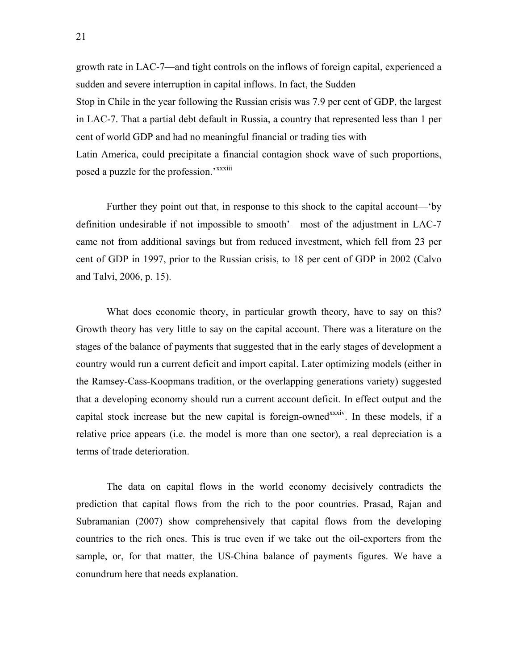growth rate in LAC-7—and tight controls on the inflows of foreign capital, experienced a sudden and severe interruption in capital inflows. In fact, the Sudden Stop in Chile in the year following the Russian crisis was 7.9 per cent of GDP, the largest in LAC-7. That a partial debt default in Russia, a country that represented less than 1 per cent of world GDP and had no meaningful financial or trading ties with

Latin America, could precipitate a financial contagion shock wave of such proportions, posed a puzzle for the profession.'<sup>[xxxiii](#page-19-0)</sup>

Further they point out that, in response to this shock to the capital account—'by definition undesirable if not impossible to smooth'—most of the adjustment in LAC-7 came not from additional savings but from reduced investment, which fell from 23 per cent of GDP in 1997, prior to the Russian crisis, to 18 per cent of GDP in 2002 (Calvo and Talvi, 2006, p. 15).

What does economic theory, in particular growth theory, have to say on this? Growth theory has very little to say on the capital account. There was a literature on the stages of the balance of payments that suggested that in the early stages of development a country would run a current deficit and import capital. Later optimizing models (either in the Ramsey-Cass-Koopmans tradition, or the overlapping generations variety) suggested that a developing economy should run a current account deficit. In effect output and the capital stock increase but the new capital is foreign-owned<sup>xxxiv</sup>. In these models, if a relative price appears (i.e. the model is more than one sector), a real depreciation is a terms of trade deterioration.

<span id="page-21-0"></span>The data on capital flows in the world economy decisively contradicts the prediction that capital flows from the rich to the poor countries. Prasad, Rajan and Subramanian (2007) show comprehensively that capital flows from the developing countries to the rich ones. This is true even if we take out the oil-exporters from the sample, or, for that matter, the US-China balance of payments figures. We have a conundrum here that needs explanation.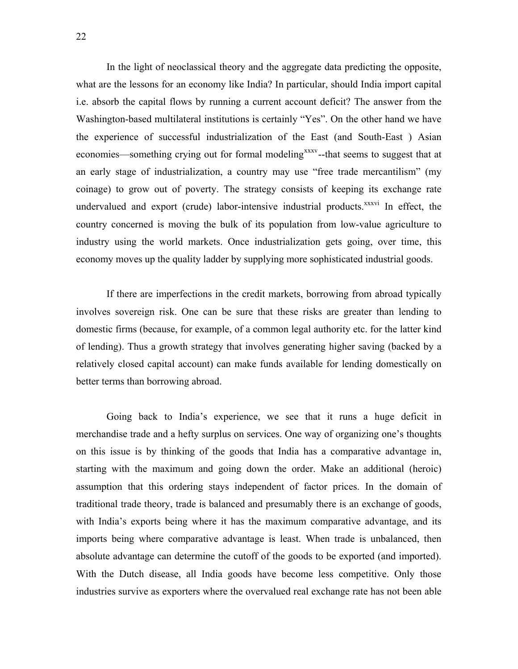In the light of neoclassical theory and the aggregate data predicting the opposite, what are the lessons for an economy like India? In particular, should India import capital i.e. absorb the capital flows by running a current account deficit? The answer from the Washington-based multilateral institutions is certainly "Yes". On the other hand we have the experience of successful industrialization of the East (and South-East ) Asian economies—something crying out for formal modeling<sup>[xxxv](#page-20-0)</sup>--that seems to suggest that at an early stage of industrialization, a country may use "free trade mercantilism" (my coinage) to grow out of poverty. The strategy consists of keeping its exchange rate undervalued and export (crude) labor-intensive industrial products.<sup>xxxvi</sup> In effect, the country concerned is moving the bulk of its population from low-value agriculture to industry using the world markets. Once industrialization gets going, over time, this economy moves up the quality ladder by supplying more sophisticated industrial goods.

If there are imperfections in the credit markets, borrowing from abroad typically involves sovereign risk. One can be sure that these risks are greater than lending to domestic firms (because, for example, of a common legal authority etc. for the latter kind of lending). Thus a growth strategy that involves generating higher saving (backed by a relatively closed capital account) can make funds available for lending domestically on better terms than borrowing abroad.

<span id="page-22-1"></span><span id="page-22-0"></span>Going back to India's experience, we see that it runs a huge deficit in merchandise trade and a hefty surplus on services. One way of organizing one's thoughts on this issue is by thinking of the goods that India has a comparative advantage in, starting with the maximum and going down the order. Make an additional (heroic) assumption that this ordering stays independent of factor prices. In the domain of traditional trade theory, trade is balanced and presumably there is an exchange of goods, with India's exports being where it has the maximum comparative advantage, and its imports being where comparative advantage is least. When trade is unbalanced, then absolute advantage can determine the cutoff of the goods to be exported (and imported). With the Dutch disease, all India goods have become less competitive. Only those industries survive as exporters where the overvalued real exchange rate has not been able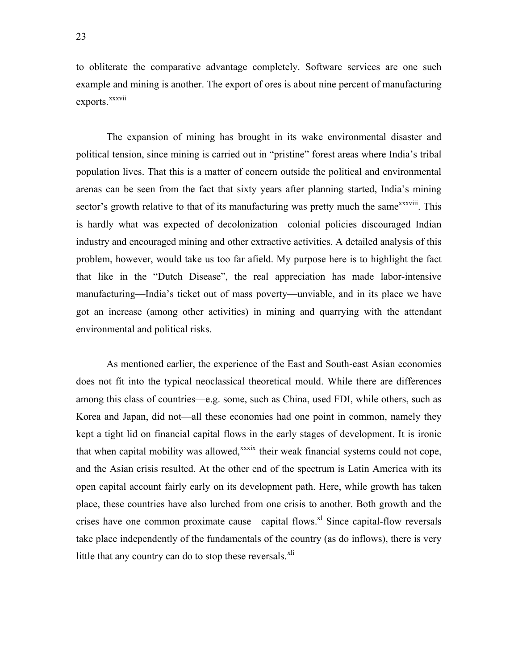to obliterate the comparative advantage completely. Software services are one such example and mining is another. The export of ores is about nine percent of manufacturing exports.<sup>[xxxvii](#page-21-0)</sup>

The expansion of mining has brought in its wake environmental disaster and political tension, since mining is carried out in "pristine" forest areas where India's tribal population lives. That this is a matter of concern outside the political and environmental arenas can be seen from the fact that sixty years after planning started, India's mining sector's growth relative to that of its manufacturing was pretty much the same<sup>xxxviii</sup>. This is hardly what was expected of decolonization—colonial policies discouraged Indian industry and encouraged mining and other extractive activities. A detailed analysis of this problem, however, would take us too far afield. My purpose here is to highlight the fact that like in the "Dutch Disease", the real appreciation has made labor-intensive manufacturing—India's ticket out of mass poverty—unviable, and in its place we have got an increase (among other activities) in mining and quarrying with the attendant environmental and political risks.

As mentioned earlier, the experience of the East and South-east Asian economies does not fit into the typical neoclassical theoretical mould. While there are differences among this class of countries—e.g. some, such as China, used FDI, while others, such as Korea and Japan, did not—all these economies had one point in common, namely they kept a tight lid on financial capital flows in the early stages of development. It is ironic that when capital mobility was allowed, $x^x$ xxix their weak financial systems could not cope, and the Asian crisis resulted. At the other end of the spectrum is Latin America with its open capital account fairly early on its development path. Here, while growth has taken place, these countries have also lurched from one crisis to another. Both growth and the crises have one common proximate cause—capital flows.<sup>xl</sup> Since capital-flow reversals take place independently of the fundamentals of the country (as do inflows), there is very little that any country can do to stop these reversals. $x<sup>1</sup>$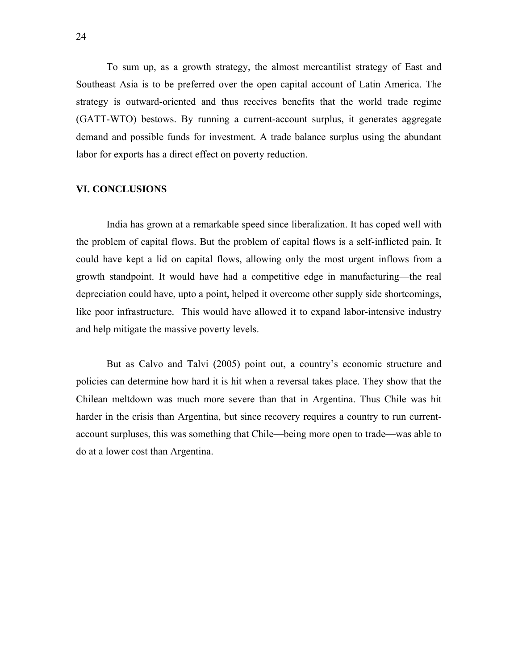To sum up, as a growth strategy, the almost mercantilist strategy of East and Southeast Asia is to be preferred over the open capital account of Latin America. The strategy is outward-oriented and thus receives benefits that the world trade regime (GATT-WTO) bestows. By running a current-account surplus, it generates aggregate demand and possible funds for investment. A trade balance surplus using the abundant labor for exports has a direct effect on poverty reduction.

#### **VI. CONCLUSIONS**

 India has grown at a remarkable speed since liberalization. It has coped well with the problem of capital flows. But the problem of capital flows is a self-inflicted pain. It could have kept a lid on capital flows, allowing only the most urgent inflows from a growth standpoint. It would have had a competitive edge in manufacturing—the real depreciation could have, upto a point, helped it overcome other supply side shortcomings, like poor infrastructure. This would have allowed it to expand labor-intensive industry and help mitigate the massive poverty levels.

But as Calvo and Talvi (2005) point out, a country's economic structure and policies can determine how hard it is hit when a reversal takes place. They show that the Chilean meltdown was much more severe than that in Argentina. Thus Chile was hit harder in the crisis than Argentina, but since recovery requires a country to run currentaccount surpluses, this was something that Chile—being more open to trade—was able to do at a lower cost than Argentina.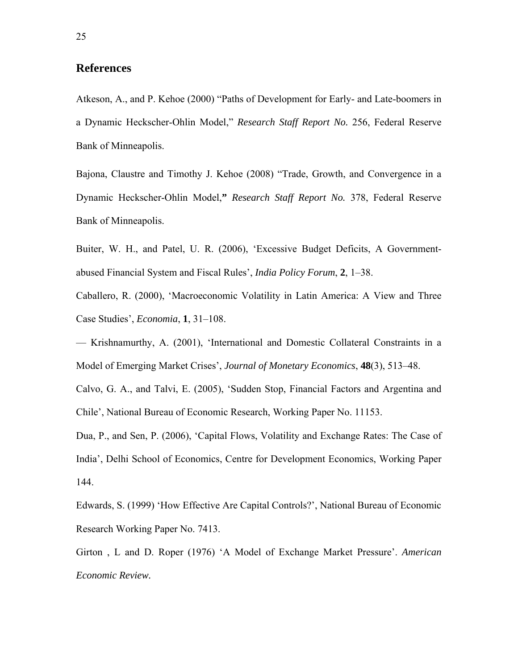### **References**

Atkeson, A., and P. Kehoe (2000) "Paths of Development for Early- and Late-boomers in a Dynamic Heckscher-Ohlin Model," *Research Staff Report No.* 256, Federal Reserve Bank of Minneapolis.

Bajona, Claustre and Timothy J. Kehoe (2008) "Trade, Growth, and Convergence in a Dynamic Heckscher-Ohlin Model,**"** *Research Staff Report No.* 378, Federal Reserve Bank of Minneapolis.

Buiter, W. H., and Patel, U. R. (2006), 'Excessive Budget Deficits, A Governmentabused Financial System and Fiscal Rules', *India Policy Forum*, **2**, 1–38.

Caballero, R. (2000), 'Macroeconomic Volatility in Latin America: A View and Three Case Studies', *Economia*, **1**, 31–108.

— Krishnamurthy, A. (2001), 'International and Domestic Collateral Constraints in a Model of Emerging Market Crises', *Journal of Monetary Economics*, **48**(3), 513–48.

Calvo, G. A., and Talvi, E. (2005), 'Sudden Stop, Financial Factors and Argentina and Chile', National Bureau of Economic Research, Working Paper No. 11153.

Dua, P., and Sen, P. (2006), 'Capital Flows, Volatility and Exchange Rates: The Case of India', Delhi School of Economics, Centre for Development Economics, Working Paper 144.

Edwards, S. (1999) 'How Effective Are Capital Controls?', National Bureau of Economic Research Working Paper No. 7413.

Girton , L and D. Roper (1976) 'A Model of Exchange Market Pressure'. *American Economic Review.*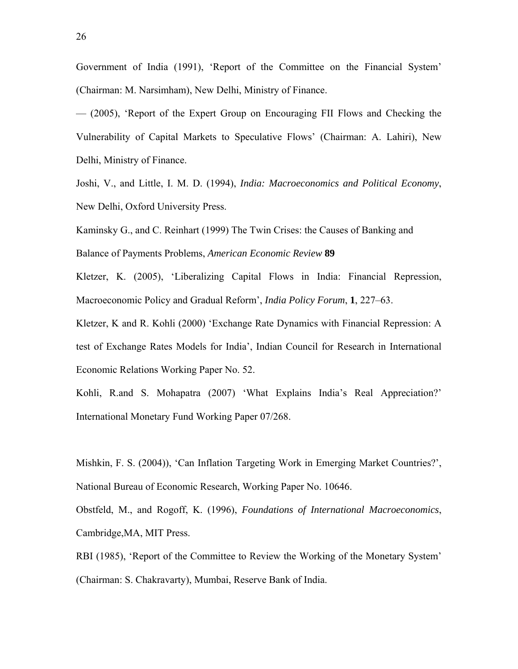Government of India (1991), 'Report of the Committee on the Financial System' (Chairman: M. Narsimham), New Delhi, Ministry of Finance.

— (2005), 'Report of the Expert Group on Encouraging FII Flows and Checking the Vulnerability of Capital Markets to Speculative Flows' (Chairman: A. Lahiri), New Delhi, Ministry of Finance.

Joshi, V., and Little, I. M. D. (1994), *India: Macroeconomics and Political Economy*, New Delhi, Oxford University Press.

Kaminsky G., and C. Reinhart (1999) The Twin Crises: the Causes of Banking and Balance of Payments Problems, *American Economic Review* **89**

Kletzer, K. (2005), 'Liberalizing Capital Flows in India: Financial Repression, Macroeconomic Policy and Gradual Reform', *India Policy Forum*, **1**, 227–63.

Kletzer, K and R. Kohli (2000) 'Exchange Rate Dynamics with Financial Repression: A test of Exchange Rates Models for India', Indian Council for Research in International Economic Relations Working Paper No. 52.

Kohli, R.and S. Mohapatra (2007) 'What Explains India's Real Appreciation?' International Monetary Fund Working Paper 07/268.

Mishkin, F. S. (2004)), 'Can Inflation Targeting Work in Emerging Market Countries?', National Bureau of Economic Research, Working Paper No. 10646.

Obstfeld, M., and Rogoff, K. (1996), *Foundations of International Macroeconomics*, Cambridge,MA, MIT Press.

RBI (1985), 'Report of the Committee to Review the Working of the Monetary System' (Chairman: S. Chakravarty), Mumbai, Reserve Bank of India.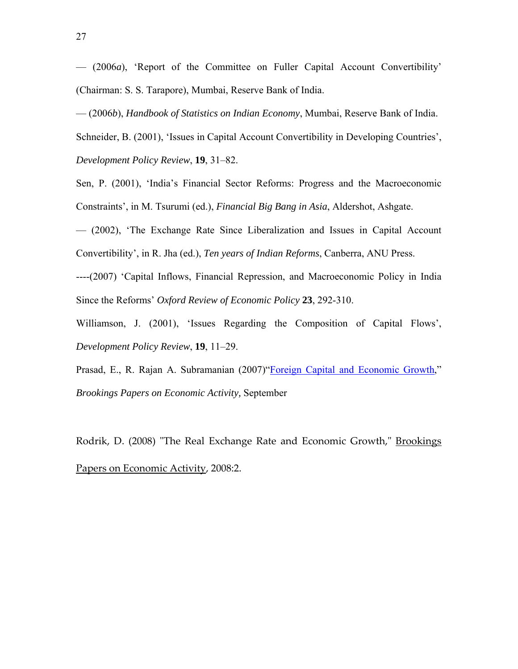— (2006*a*), 'Report of the Committee on Fuller Capital Account Convertibility' (Chairman: S. S. Tarapore), Mumbai, Reserve Bank of India.

— (2006*b*), *Handbook of Statistics on Indian Economy*, Mumbai, Reserve Bank of India.

Schneider, B. (2001), 'Issues in Capital Account Convertibility in Developing Countries', *Development Policy Review*, **19**, 31–82.

Sen, P. (2001), 'India's Financial Sector Reforms: Progress and the Macroeconomic Constraints', in M. Tsurumi (ed.), *Financial Big Bang in Asia*, Aldershot, Ashgate.

— (2002), 'The Exchange Rate Since Liberalization and Issues in Capital Account Convertibility', in R. Jha (ed.), *Ten years of Indian Reforms*, Canberra, ANU Press.

----(2007) 'Capital Inflows, Financial Repression, and Macroeconomic Policy in India Since the Reforms' *Oxford Review of Economic Policy* **23**, 292-310.

Williamson, J. (2001), 'Issues Regarding the Composition of Capital Flows', *Development Policy Review*, **19**, 11–29.

Prasad, E., R. Rajan A. Subramanian (2007)["Foreign Capital and Economic Growth,](http://prasad.aem.cornell.edu/doc/journal_articles/WPversion.pdf)" *Brookings Papers on Economic Activity,* September

Rodrik, D. (2008) "The Real Exchange Rate and Economic Growth," Brookings Papers on Economic Activity, 2008:2.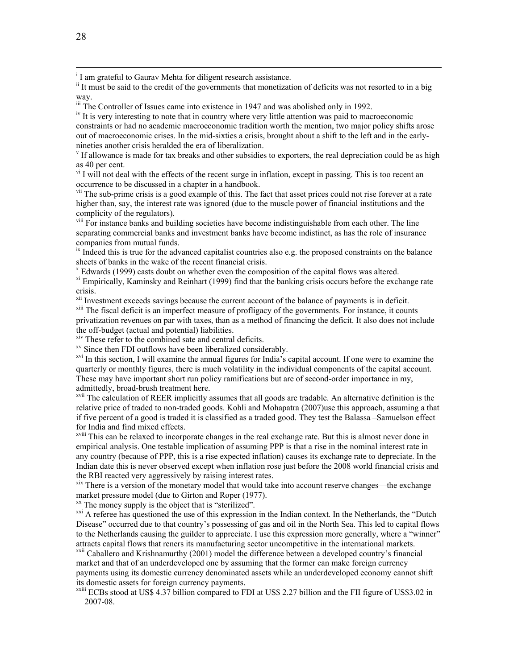|<br>i  $I$  I am grateful to Gaurav Mehta for diligent research assistance.

iii The Controller of Issues came into existence in 1947 and was abolished only in 1992.

<sup>iv</sup> It is very interesting to note that in country where very little attention was paid to macroeconomic constraints or had no academic macroeconomic tradition worth the mention, two major policy shifts arose out of macroeconomic crises. In the mid-sixties a crisis, brought about a shift to the left and in the earlynineties another crisis heralded the era of liberalization.

If allowance is made for tax breaks and other subsidies to exporters, the real depreciation could be as high as 40 per cent.

 $v<sup>i</sup>$  I will not deal with the effects of the recent surge in inflation, except in passing. This is too recent an occurrence to be discussed in a chapter in a handbook.

<sup>vii</sup> The sub-prime crisis is a good example of this. The fact that asset prices could not rise forever at a rate higher than, say, the interest rate was ignored (due to the muscle power of financial institutions and the complicity of the regulators).

viii For instance banks and building societies have become indistinguishable from each other. The line separating commercial banks and investment banks have become indistinct, as has the role of insurance companies from mutual funds.

 $\dot{x}$  Indeed this is true for the advanced capitalist countries also e.g. the proposed constraints on the balance sheets of banks in the wake of the recent financial crisis.

 $X$  Edwards (1999) casts doubt on whether even the composition of the capital flows was altered.

 $x<sup>x</sup>$  Empirically, Kaminsky and Reinhart (1999) find that the banking crisis occurs before the exchange rate crisis.<br>
<sup>xii</sup> Investment exceeds savings because the current account of the balance of payments is in deficit.

<sup>xiii</sup> The fiscal deficit is an imperfect measure of profligacy of the governments. For instance, it counts privatization revenues on par with taxes, than as a method of financing the deficit. It also does not include the off-budget (actual and potential) liabilities.

<sup>xiv</sup> These refer to the combined sate and central deficits.<br><sup>xv</sup> Since then FDI outflows have been liberalized considerably.

<sup>xvi</sup> In this section, I will examine the annual figures for India's capital account. If one were to examine the quarterly or monthly figures, there is much volatility in the individual components of the capital account. These may have important short run policy ramifications but are of second-order importance in my, admittedly, broad-brush treatment here.

<sup>xvii</sup> The calculation of REER implicitly assumes that all goods are tradable. An alternative definition is the relative price of traded to non-traded goods. Kohli and Mohapatra (2007)use this approach, assuming a that if five percent of a good is traded it is classified as a traded good. They test the Balassa –Samuelson effect for India and find mixed effects.

xviii This can be relaxed to incorporate changes in the real exchange rate. But this is almost never done in empirical analysis. One testable implication of assuming PPP is that a rise in the nominal interest rate in any country (because of PPP, this is a rise expected inflation) causes its exchange rate to depreciate. In the Indian date this is never observed except when inflation rose just before the 2008 world financial crisis and the RBI reacted very aggressively by raising interest rates.<br>xix There is a version of the monetary model that would take into account reserve changes—the exchange

market pressure model (due to Girton and Roper (1977).

 $x^x$  The money supply is the object that is "sterilized".

<sup>xxi</sup> A referee has questioned the use of this expression in the Indian context. In the Netherlands, the "Dutch" Disease" occurred due to that country's possessing of gas and oil in the North Sea. This led to capital flows to the Netherlands causing the guilder to appreciate. I use this expression more generally, where a "winner" attracts capital flows that reners its manufacturing sector uncompetitive in the international markets.<br><sup>xxii</sup> Caballero and Krishnamurthy (2001) model the difference between a developed country's financial

market and that of an underdeveloped one by assuming that the former can make foreign currency payments using its domestic currency denominated assets while an underdeveloped economy cannot shift its domestic assets for foreign currency payments.

 $\frac{x}{x}$ <sup>xxiii</sup> ECBs stood at US\$ 4.37 billion compared to FDI at US\$ 2.27 billion and the FII figure of US\$3.02 in 2007-08.

<sup>&</sup>lt;sup>ii</sup> It must be said to the credit of the governments that monetization of deficits was not resorted to in a big way.